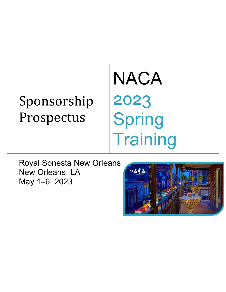# Sponsorship Prospectus

# NACA 2023 Spring **Training**

Royal Sonesta New Orleans New Orleans, LA May 1–6, 2023

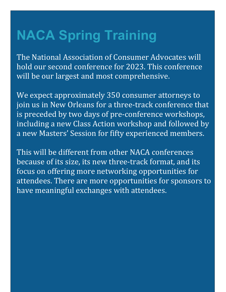## **NACA Spring Training**

The National Association of Consumer Advocates will hold our second conference for 2023. This conference will be our largest and most comprehensive.

We expect approximately 350 consumer attorneys to join us in New Orleans for a three-track conference that is preceded by two days of pre-conference workshops, including a new Class Action workshop and followed by a new Masters' Session for fifty experienced members.

This will be different from other NACA conferences because of its size, its new three-track format, and its focus on offering more networking opportunities for attendees. There are more opportunities for sponsors to have meaningful exchanges with attendees.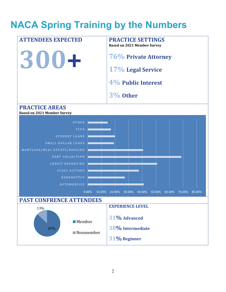### **NACA Spring Training by the Numbers**

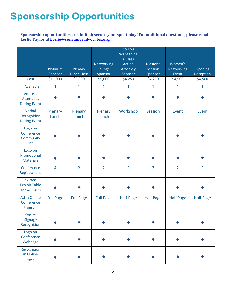### **Sponsorship Opportunities**

#### **Sponsorship opportunities are limited; secure your spot today! For additional questions, please email Leslie Taylor at [Leslie@consumeradvocates.org.](mailto:Leslie@consumeradvocates.org?subject=2020%20Sponsorship)**

|                                                           | Platinum<br>Sponsor | Plenary<br>Lunch Host | Networking<br>Lounge<br>Sponsor | So You<br>Want to be<br>a Class<br>Action<br>Attorney<br>Sponsor | Master's<br><b>Session</b><br>Sponsor | Women's<br><b>Networking</b><br>Event | Opening<br>Reception |
|-----------------------------------------------------------|---------------------|-----------------------|---------------------------------|------------------------------------------------------------------|---------------------------------------|---------------------------------------|----------------------|
| Cost                                                      | \$11,000            | \$5,000               | \$5,000                         | \$4,250                                                          | \$4,250                               | \$4,500                               | \$4,500              |
| # Available                                               | $\mathbf{1}$        | $\mathbf{1}$          | $\mathbf{1}$                    | $\mathbf{1}$                                                     | $\mathbf{1}$                          | $\mathbf{1}$                          | $\mathbf{1}$         |
| <b>Address</b><br><b>Attendees</b><br><b>During Event</b> |                     |                       |                                 |                                                                  |                                       |                                       |                      |
| Verbal<br>Recognition<br><b>During Event</b>              | Plenary<br>Lunch    | Plenary<br>Lunch      | Plenary<br>Lunch                | Workshop                                                         | <b>Session</b>                        | Event                                 | Event                |
| Logo on<br>Conference<br>Community<br><b>Site</b>         |                     |                       |                                 |                                                                  |                                       |                                       |                      |
| Logo on<br>Promotional<br><b>Materials</b>                |                     |                       |                                 |                                                                  |                                       |                                       |                      |
| Conference<br>Registrations                               | $\overline{4}$      | $\overline{2}$        | $\overline{2}$                  | $\overline{2}$                                                   | $\overline{2}$                        | $\overline{2}$                        | $\overline{2}$       |
| <b>Skirted</b><br><b>Exhibit Table</b><br>and 4 Chairs    |                     |                       |                                 |                                                                  |                                       |                                       |                      |
| Ad in Online<br>Conference<br>Program                     | <b>Full Page</b>    | <b>Full Page</b>      | <b>Full Page</b>                | <b>Half Page</b>                                                 | <b>Half Page</b>                      | <b>Half Page</b>                      | <b>Half Page</b>     |
| Onsite<br><b>Signage</b><br>Recognition                   |                     |                       |                                 |                                                                  |                                       |                                       |                      |
| Logo on<br>Conference<br>Webpage                          |                     |                       |                                 |                                                                  |                                       |                                       |                      |
| Recognition<br>in Online<br>Program                       |                     |                       |                                 |                                                                  |                                       |                                       |                      |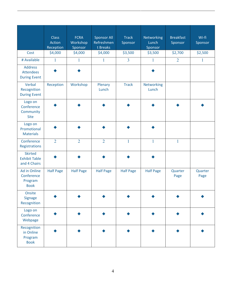|                                                           | <b>Class</b><br>Action<br>Reception | <b>FCRA</b><br>Workshop<br>Sponsor | <b>Sponsor All</b><br>Refreshmen<br>t Breaks | <b>Track</b><br>Sponsor | Networking<br>Lunch<br>Sponsor | <b>Breakfast</b><br>Sponsor | Wi-fi<br>Sponsor |
|-----------------------------------------------------------|-------------------------------------|------------------------------------|----------------------------------------------|-------------------------|--------------------------------|-----------------------------|------------------|
| Cost                                                      | \$4,000                             | \$4,000                            | \$4,000                                      | \$3,500                 | \$3,500                        | \$2,700                     | \$2,500          |
| # Available                                               | $\mathbf{1}$                        | 1                                  | $\mathbf{1}$                                 | $\overline{3}$          | 1                              | $\overline{2}$              | $\mathbf{1}$     |
| <b>Address</b><br><b>Attendees</b><br><b>During Event</b> |                                     |                                    |                                              |                         |                                |                             |                  |
| Verbal<br>Recognition<br><b>During Event</b>              | Reception                           | Workshop                           | Plenary<br>Lunch                             | <b>Track</b>            | Networking<br>Lunch            |                             |                  |
| Logo on<br>Conference<br>Community<br><b>Site</b>         |                                     |                                    |                                              |                         |                                |                             |                  |
| Logo on<br>Promotional<br><b>Materials</b>                |                                     |                                    |                                              |                         |                                |                             |                  |
| Conference<br>Registrations                               | $\overline{2}$                      | $\overline{2}$                     | $\overline{2}$                               | $\mathbf{1}$            | 1                              | $\mathbf{1}$                |                  |
| <b>Skirted</b><br><b>Exhibit Table</b><br>and 4 Chairs    |                                     |                                    |                                              |                         |                                |                             |                  |
| Ad in Online<br>Conference<br>Program<br><b>Book</b>      | <b>Half Page</b>                    | <b>Half Page</b>                   | <b>Half Page</b>                             | <b>Half Page</b>        | <b>Half Page</b>               | Quarter<br>Page             | Quarter<br>Page  |
| Onsite<br><b>Signage</b><br>Recognition                   |                                     |                                    |                                              |                         |                                |                             |                  |
| Logo on<br>Conference<br>Webpage                          |                                     |                                    |                                              |                         |                                |                             |                  |
| Recognition<br>in Online<br>Program<br><b>Book</b>        |                                     |                                    |                                              |                         |                                |                             |                  |